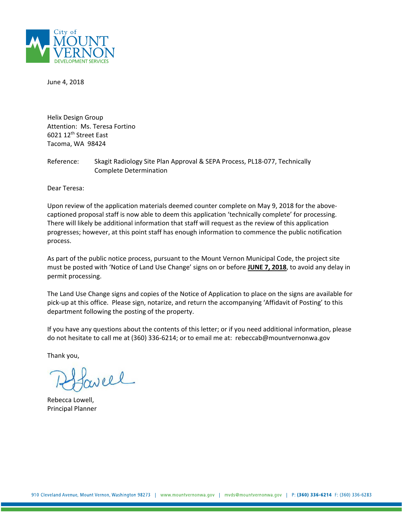

June 4, 2018

Helix Design Group Attention: Ms. Teresa Fortino 6021 12th Street East Tacoma, WA 98424

Reference: Skagit Radiology Site Plan Approval & SEPA Process, PL18-077, Technically Complete Determination

Dear Teresa:

Upon review of the application materials deemed counter complete on May 9, 2018 for the abovecaptioned proposal staff is now able to deem this application 'technically complete' for processing. There will likely be additional information that staff will request as the review of this application progresses; however, at this point staff has enough information to commence the public notification process.

As part of the public notice process, pursuant to the Mount Vernon Municipal Code, the project site must be posted with 'Notice of Land Use Change' signs on or before **JUNE 7, 2018**, to avoid any delay in permit processing.

The Land Use Change signs and copies of the Notice of Application to place on the signs are available for pick-up at this office. Please sign, notarize, and return the accompanying 'Affidavit of Posting' to this department following the posting of the property.

If you have any questions about the contents of this letter; or if you need additional information, please do not hesitate to call me at (360) 336-6214; or to email me at: rebeccab@mountvernonwa.gov

Thank you,

rel

Rebecca Lowell, Principal Planner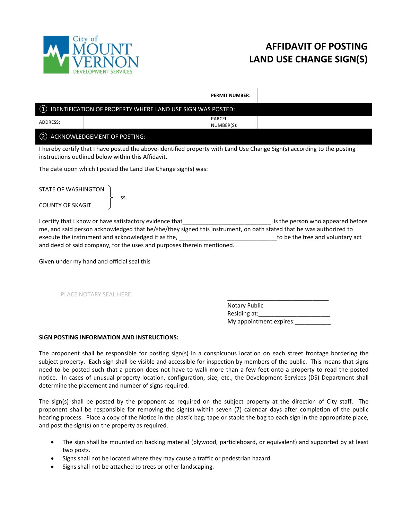

# **AFFIDAVIT OF POSTING LAND USE CHANGE SIGN(S)**

**PERMIT NUMBER**:

## ① IDENTIFICATION OF PROPERTY WHERE LAND USE SIGN WAS POSTED: ADDRESS: PARCEL NUMBER(S): ② ACKNOWLEDGEMENT OF POSTING: I hereby certify that I have posted the above-identified property with Land Use Change Sign(s) according to the posting instructions outlined below within this Affidavit. The date upon which I posted the Land Use Change sign(s) was: STATE OF WASHINGTON ss. COUNTY OF SKAGIT I certify that I know or have satisfactory evidence that that the state of the person who appeared before me, and said person acknowledged that he/she/they signed this instrument, on oath stated that he was authorized to execute the instrument and acknowledged it as the, example and voluntary act and voluntary act and deed of said company, for the uses and purposes therein mentioned.

Given under my hand and official seal this

PLACE NOTARY SEAL HERE

\_\_\_\_\_\_\_\_\_\_\_\_\_\_\_\_\_\_\_\_\_\_\_\_\_\_\_\_\_\_\_ Notary Public Residing at: My appointment expires:\_\_\_\_\_\_\_\_\_\_\_

### **SIGN POSTING INFORMATION AND INSTRUCTIONS:**

The proponent shall be responsible for posting sign(s) in a conspicuous location on each street frontage bordering the subject property. Each sign shall be visible and accessible for inspection by members of the public. This means that signs need to be posted such that a person does not have to walk more than a few feet onto a property to read the posted notice. In cases of unusual property location, configuration, size, etc., the Development Services (DS) Department shall determine the placement and number of signs required.

The sign(s) shall be posted by the proponent as required on the subject property at the direction of City staff. The proponent shall be responsible for removing the sign(s) within seven (7) calendar days after completion of the public hearing process. Place a copy of the Notice in the plastic bag, tape or staple the bag to each sign in the appropriate place, and post the sign(s) on the property as required.

- The sign shall be mounted on backing material (plywood, particleboard, or equivalent) and supported by at least two posts.
- Signs shall not be located where they may cause a traffic or pedestrian hazard.
- Signs shall not be attached to trees or other landscaping.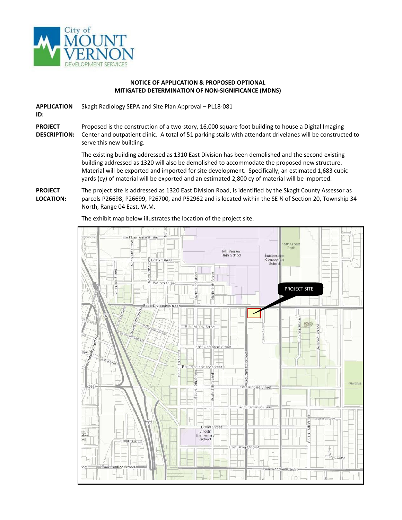

### **NOTICE OF APPLICATION & PROPOSED OPTIONAL MITIGATED DETERMINATION OF NON-SIGNIFICANCE (MDNS)**

**APPLICATION**  Skagit Radiology SEPA and Site Plan Approval – PL18-081

**ID:**

**PROJECT DESCRIPTION:** Proposed is the construction of a two-story, 16,000 square foot building to house a Digital Imaging Center and outpatient clinic. A total of 51 parking stalls with attendant drivelanes will be constructed to serve this new building.

> The existing building addressed as 1310 East Division has been demolished and the second existing building addressed as 1320 will also be demolished to accommodate the proposed new structure. Material will be exported and imported for site development. Specifically, an estimated 1,683 cubic yards (cy) of material will be exported and an estimated 2,800 cy of material will be imported.

**PROJECT LOCATION:** The project site is addressed as 1320 East Division Road, is identified by the Skagit County Assessor as parcels P26698, P26699, P26700, and P52962 and is located within the SE ¼ of Section 20, Township 34 North, Range 04 East, W.M.

The exhibit map below illustrates the location of the project site.